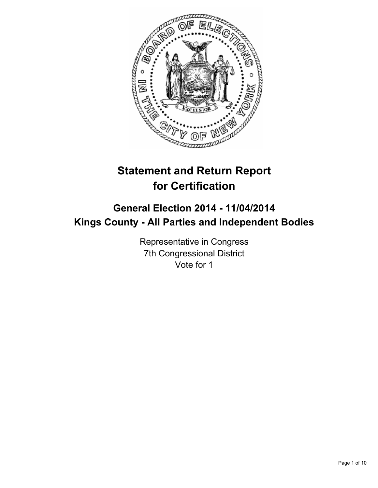

# **Statement and Return Report for Certification**

# **General Election 2014 - 11/04/2014 Kings County - All Parties and Independent Bodies**

Representative in Congress 7th Congressional District Vote for 1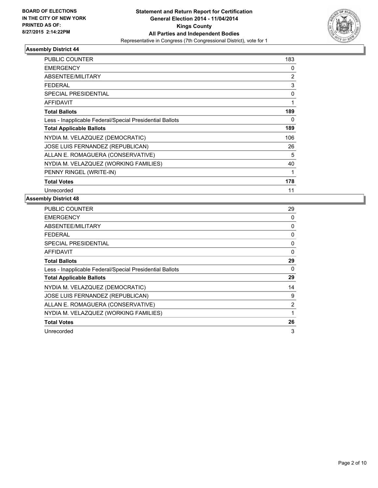

| <b>PUBLIC COUNTER</b>                                    | 183 |
|----------------------------------------------------------|-----|
| <b>EMERGENCY</b>                                         | 0   |
| ABSENTEE/MILITARY                                        | 2   |
| <b>FEDERAL</b>                                           | 3   |
| <b>SPECIAL PRESIDENTIAL</b>                              | 0   |
| AFFIDAVIT                                                | 1   |
| <b>Total Ballots</b>                                     | 189 |
| Less - Inapplicable Federal/Special Presidential Ballots | 0   |
| <b>Total Applicable Ballots</b>                          | 189 |
| NYDIA M. VELAZQUEZ (DEMOCRATIC)                          | 106 |
| JOSE LUIS FERNANDEZ (REPUBLICAN)                         | 26  |
| ALLAN E. ROMAGUERA (CONSERVATIVE)                        | 5   |
| NYDIA M. VELAZQUEZ (WORKING FAMILIES)                    | 40  |
| PENNY RINGEL (WRITE-IN)                                  | 1   |
| <b>Total Votes</b>                                       | 178 |
| Unrecorded                                               | 11  |

| PUBLIC COUNTER                                           | 29             |
|----------------------------------------------------------|----------------|
| <b>EMERGENCY</b>                                         | 0              |
| ABSENTEE/MILITARY                                        | 0              |
| <b>FEDERAL</b>                                           | 0              |
| SPECIAL PRESIDENTIAL                                     | $\Omega$       |
| AFFIDAVIT                                                | 0              |
| <b>Total Ballots</b>                                     | 29             |
| Less - Inapplicable Federal/Special Presidential Ballots | 0              |
| <b>Total Applicable Ballots</b>                          | 29             |
| NYDIA M. VELAZQUEZ (DEMOCRATIC)                          | 14             |
| JOSE LUIS FERNANDEZ (REPUBLICAN)                         | 9              |
| ALLAN E. ROMAGUERA (CONSERVATIVE)                        | $\overline{2}$ |
| NYDIA M. VELAZQUEZ (WORKING FAMILIES)                    | 1              |
| <b>Total Votes</b>                                       | 26             |
| Unrecorded                                               | 3              |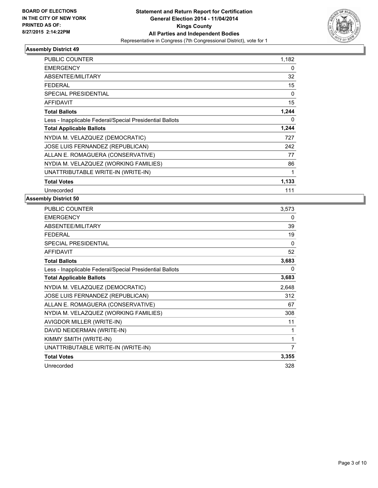

| <b>PUBLIC COUNTER</b>                                    | 1,182    |
|----------------------------------------------------------|----------|
| <b>EMERGENCY</b>                                         | 0        |
| <b>ABSENTEE/MILITARY</b>                                 | 32       |
| <b>FEDERAL</b>                                           | 15       |
| <b>SPECIAL PRESIDENTIAL</b>                              | $\Omega$ |
| <b>AFFIDAVIT</b>                                         | 15       |
| <b>Total Ballots</b>                                     | 1,244    |
| Less - Inapplicable Federal/Special Presidential Ballots | 0        |
| <b>Total Applicable Ballots</b>                          | 1,244    |
| NYDIA M. VELAZQUEZ (DEMOCRATIC)                          | 727      |
| JOSE LUIS FERNANDEZ (REPUBLICAN)                         | 242      |
| ALLAN E. ROMAGUERA (CONSERVATIVE)                        | 77       |
| NYDIA M. VELAZQUEZ (WORKING FAMILIES)                    | 86       |
| UNATTRIBUTABLE WRITE-IN (WRITE-IN)                       | 1        |
| <b>Total Votes</b>                                       | 1,133    |
| Unrecorded                                               | 111      |

| PUBLIC COUNTER                                           | 3,573    |
|----------------------------------------------------------|----------|
| <b>EMERGENCY</b>                                         | $\Omega$ |
| <b>ABSENTEE/MILITARY</b>                                 | 39       |
| <b>FEDERAL</b>                                           | 19       |
| SPECIAL PRESIDENTIAL                                     | 0        |
| <b>AFFIDAVIT</b>                                         | 52       |
| <b>Total Ballots</b>                                     | 3,683    |
| Less - Inapplicable Federal/Special Presidential Ballots | 0        |
| <b>Total Applicable Ballots</b>                          | 3,683    |
| NYDIA M. VELAZQUEZ (DEMOCRATIC)                          | 2,648    |
| JOSE LUIS FERNANDEZ (REPUBLICAN)                         | 312      |
| ALLAN E. ROMAGUERA (CONSERVATIVE)                        | 67       |
| NYDIA M. VELAZQUEZ (WORKING FAMILIES)                    | 308      |
| AVIGDOR MILLER (WRITE-IN)                                | 11       |
| DAVID NEIDERMAN (WRITE-IN)                               | 1        |
| KIMMY SMITH (WRITE-IN)                                   | 1        |
| UNATTRIBUTABLE WRITE-IN (WRITE-IN)                       | 7        |
| <b>Total Votes</b>                                       | 3,355    |
| Unrecorded                                               | 328      |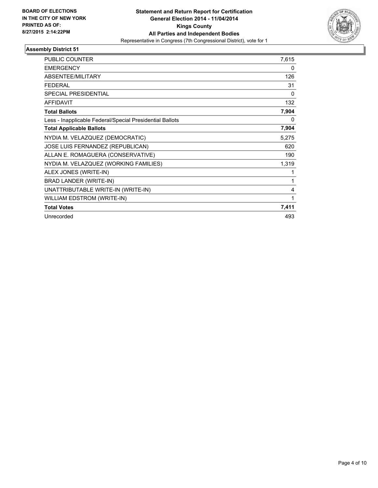

| <b>PUBLIC COUNTER</b>                                    | 7,615        |
|----------------------------------------------------------|--------------|
| <b>EMERGENCY</b>                                         | $\mathbf{0}$ |
| <b>ABSENTEE/MILITARY</b>                                 | 126          |
| <b>FEDERAL</b>                                           | 31           |
| <b>SPECIAL PRESIDENTIAL</b>                              | 0            |
| <b>AFFIDAVIT</b>                                         | 132          |
| <b>Total Ballots</b>                                     | 7,904        |
| Less - Inapplicable Federal/Special Presidential Ballots | 0            |
| <b>Total Applicable Ballots</b>                          | 7,904        |
| NYDIA M. VELAZQUEZ (DEMOCRATIC)                          | 5,275        |
| JOSE LUIS FERNANDEZ (REPUBLICAN)                         | 620          |
| ALLAN E. ROMAGUERA (CONSERVATIVE)                        | 190          |
| NYDIA M. VELAZQUEZ (WORKING FAMILIES)                    | 1,319        |
| ALEX JONES (WRITE-IN)                                    | 1            |
| BRAD LANDER (WRITE-IN)                                   | 1            |
| UNATTRIBUTABLE WRITE-IN (WRITE-IN)                       | 4            |
| WILLIAM EDSTROM (WRITE-IN)                               | 1            |
| <b>Total Votes</b>                                       | 7,411        |
| Unrecorded                                               | 493          |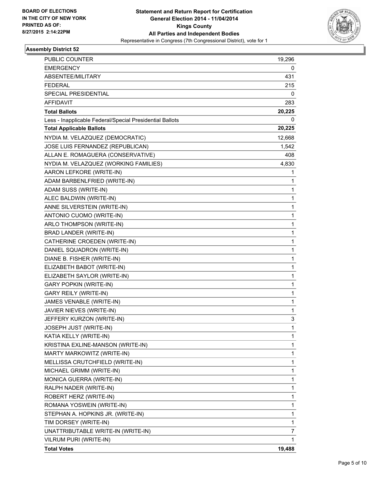

| <b>PUBLIC COUNTER</b>                                    | 19,296 |
|----------------------------------------------------------|--------|
| <b>EMERGENCY</b>                                         | 0      |
| ABSENTEE/MILITARY                                        | 431    |
| <b>FEDERAL</b>                                           | 215    |
| <b>SPECIAL PRESIDENTIAL</b>                              | 0      |
| AFFIDAVIT                                                | 283    |
| <b>Total Ballots</b>                                     | 20,225 |
| Less - Inapplicable Federal/Special Presidential Ballots | 0      |
| <b>Total Applicable Ballots</b>                          | 20,225 |
| NYDIA M. VELAZQUEZ (DEMOCRATIC)                          | 12,668 |
| JOSE LUIS FERNANDEZ (REPUBLICAN)                         | 1,542  |
| ALLAN E. ROMAGUERA (CONSERVATIVE)                        | 408    |
| NYDIA M. VELAZQUEZ (WORKING FAMILIES)                    | 4,830  |
| AARON LEFKORE (WRITE-IN)                                 | 1      |
| ADAM BARBENLFRIED (WRITE-IN)                             | 1      |
| ADAM SUSS (WRITE-IN)                                     | 1      |
| ALEC BALDWIN (WRITE-IN)                                  | 1      |
| ANNE SILVERSTEIN (WRITE-IN)                              | 1      |
| ANTONIO CUOMO (WRITE-IN)                                 | 1      |
| ARLO THOMPSON (WRITE-IN)                                 | 1      |
| BRAD LANDER (WRITE-IN)                                   | 1      |
| CATHERINE CROEDEN (WRITE-IN)                             | 1      |
| DANIEL SQUADRON (WRITE-IN)                               | 1      |
| DIANE B. FISHER (WRITE-IN)                               | 1      |
| ELIZABETH BABOT (WRITE-IN)                               | 1      |
| ELIZABETH SAYLOR (WRITE-IN)                              | 1      |
| <b>GARY POPKIN (WRITE-IN)</b>                            | 1      |
| <b>GARY REILY (WRITE-IN)</b>                             | 1      |
| JAMES VENABLE (WRITE-IN)                                 | 1      |
| JAVIER NIEVES (WRITE-IN)                                 | 1      |
| JEFFERY KURZON (WRITE-IN)                                | 3      |
| JOSEPH JUST (WRITE-IN)                                   | 1      |
| KATIA KELLY (WRITE-IN)                                   | 1      |
| KRISTINA EXLINE-MANSON (WRITE-IN)                        | 1      |
| MARTY MARKOWITZ (WRITE-IN)                               | 1      |
| MELLISSA CRUTCHFIELD (WRITE-IN)                          | 1      |
| MICHAEL GRIMM (WRITE-IN)                                 | 1      |
| MONICA GUERRA (WRITE-IN)                                 | 1      |
| RALPH NADER (WRITE-IN)                                   | 1      |
| ROBERT HERZ (WRITE-IN)                                   | 1      |
| ROMANA YOSWEIN (WRITE-IN)                                | 1      |
| STEPHAN A. HOPKINS JR. (WRITE-IN)                        | 1      |
| TIM DORSEY (WRITE-IN)                                    | 1      |
| UNATTRIBUTABLE WRITE-IN (WRITE-IN)                       | 7      |
| VILRUM PURI (WRITE-IN)                                   | 1      |
| <b>Total Votes</b>                                       | 19,488 |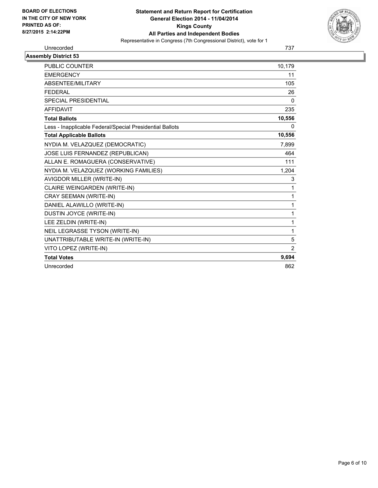

# Unrecorded 737

| <b>Assembly District 53</b>                              |                |
|----------------------------------------------------------|----------------|
| PUBLIC COUNTER                                           | 10,179         |
| <b>EMERGENCY</b>                                         | 11             |
| ABSENTEE/MILITARY                                        | 105            |
| <b>FEDERAL</b>                                           | 26             |
| <b>SPECIAL PRESIDENTIAL</b>                              | $\mathbf{0}$   |
| <b>AFFIDAVIT</b>                                         | 235            |
| <b>Total Ballots</b>                                     | 10,556         |
| Less - Inapplicable Federal/Special Presidential Ballots | 0              |
| <b>Total Applicable Ballots</b>                          | 10,556         |
| NYDIA M. VELAZQUEZ (DEMOCRATIC)                          | 7,899          |
| JOSE LUIS FERNANDEZ (REPUBLICAN)                         | 464            |
| ALLAN E. ROMAGUERA (CONSERVATIVE)                        | 111            |
| NYDIA M. VELAZQUEZ (WORKING FAMILIES)                    | 1,204          |
| AVIGDOR MILLER (WRITE-IN)                                | 3              |
| CLAIRE WEINGARDEN (WRITE-IN)                             | 1              |
| <b>CRAY SEEMAN (WRITE-IN)</b>                            | 1              |
| DANIEL ALAWILLO (WRITE-IN)                               | 1              |
| DUSTIN JOYCE (WRITE-IN)                                  | 1              |
| LEE ZELDIN (WRITE-IN)                                    | 1              |
| NEIL LEGRASSE TYSON (WRITE-IN)                           | 1              |
| UNATTRIBUTABLE WRITE-IN (WRITE-IN)                       | 5              |
| VITO LOPEZ (WRITE-IN)                                    | $\overline{2}$ |
| <b>Total Votes</b>                                       | 9,694          |
| Unrecorded                                               | 862            |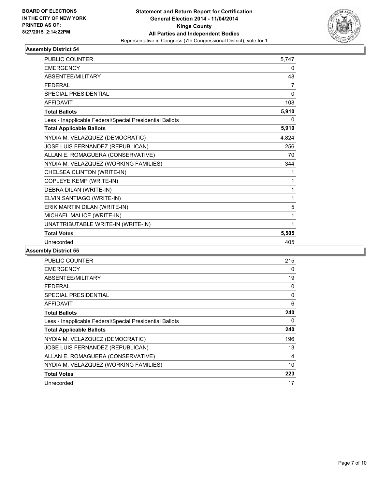

| <b>PUBLIC COUNTER</b>                                    | 5,747    |
|----------------------------------------------------------|----------|
| <b>EMERGENCY</b>                                         | 0        |
| <b>ABSENTEE/MILITARY</b>                                 | 48       |
| <b>FEDERAL</b>                                           | 7        |
| <b>SPECIAL PRESIDENTIAL</b>                              | $\Omega$ |
| <b>AFFIDAVIT</b>                                         | 108      |
| <b>Total Ballots</b>                                     | 5,910    |
| Less - Inapplicable Federal/Special Presidential Ballots | 0        |
| <b>Total Applicable Ballots</b>                          | 5,910    |
| NYDIA M. VELAZQUEZ (DEMOCRATIC)                          | 4,824    |
| JOSE LUIS FERNANDEZ (REPUBLICAN)                         | 256      |
| ALLAN E. ROMAGUERA (CONSERVATIVE)                        | 70       |
| NYDIA M. VELAZQUEZ (WORKING FAMILIES)                    | 344      |
| CHELSEA CLINTON (WRITE-IN)                               | 1        |
| COPLEYE KEMP (WRITE-IN)                                  | 1        |
| DEBRA DILAN (WRITE-IN)                                   | 1        |
| ELVIN SANTIAGO (WRITE-IN)                                | 1        |
| ERIK MARTIN DILAN (WRITE-IN)                             | 5        |
| MICHAEL MALICE (WRITE-IN)                                | 1        |
| UNATTRIBUTABLE WRITE-IN (WRITE-IN)                       | 1        |
| <b>Total Votes</b>                                       | 5,505    |
| Unrecorded                                               | 405      |

| PUBLIC COUNTER                                           | 215 |
|----------------------------------------------------------|-----|
| <b>EMERGENCY</b>                                         | 0   |
| ABSENTEE/MILITARY                                        | 19  |
| <b>FFDFRAL</b>                                           | 0   |
| <b>SPECIAL PRESIDENTIAL</b>                              | 0   |
| <b>AFFIDAVIT</b>                                         | 6   |
| <b>Total Ballots</b>                                     | 240 |
| Less - Inapplicable Federal/Special Presidential Ballots | 0   |
| <b>Total Applicable Ballots</b>                          | 240 |
| NYDIA M. VELAZQUEZ (DEMOCRATIC)                          | 196 |
| JOSE LUIS FERNANDEZ (REPUBLICAN)                         | 13  |
| ALLAN E. ROMAGUERA (CONSERVATIVE)                        | 4   |
| NYDIA M. VELAZQUEZ (WORKING FAMILIES)                    | 10  |
| <b>Total Votes</b>                                       | 223 |
| Unrecorded                                               | 17  |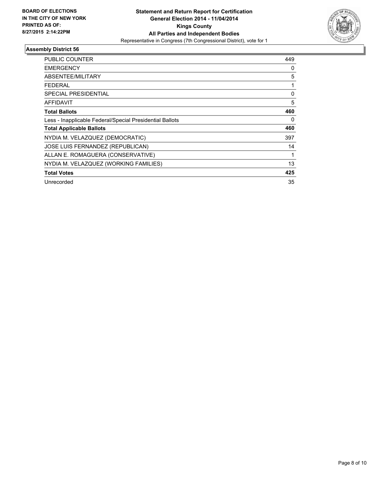

| <b>PUBLIC COUNTER</b>                                    | 449      |
|----------------------------------------------------------|----------|
| <b>EMERGENCY</b>                                         | 0        |
| ABSENTEE/MILITARY                                        | 5        |
| <b>FEDERAL</b>                                           | 1        |
| SPECIAL PRESIDENTIAL                                     | $\Omega$ |
| AFFIDAVIT                                                | 5        |
| <b>Total Ballots</b>                                     | 460      |
| Less - Inapplicable Federal/Special Presidential Ballots | 0        |
| <b>Total Applicable Ballots</b>                          | 460      |
| NYDIA M. VELAZQUEZ (DEMOCRATIC)                          | 397      |
| JOSE LUIS FERNANDEZ (REPUBLICAN)                         | 14       |
| ALLAN E. ROMAGUERA (CONSERVATIVE)                        |          |
| NYDIA M. VELAZQUEZ (WORKING FAMILIES)                    | 13       |
| <b>Total Votes</b>                                       | 425      |
| Unrecorded                                               | 35       |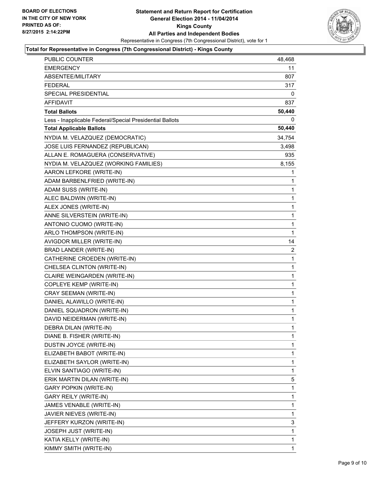

# **Total for Representative in Congress (7th Congressional District) - Kings County**

| <b>PUBLIC COUNTER</b>                                    | 48,468       |
|----------------------------------------------------------|--------------|
| EMERGENCY                                                | 11           |
| ABSENTEE/MILITARY                                        | 807          |
| <b>FEDERAL</b>                                           | 317          |
| SPECIAL PRESIDENTIAL                                     | 0            |
| <b>AFFIDAVIT</b>                                         | 837          |
| Total Ballots                                            | 50,440       |
| Less - Inapplicable Federal/Special Presidential Ballots | 0            |
| <b>Total Applicable Ballots</b>                          | 50,440       |
| NYDIA M. VELAZQUEZ (DEMOCRATIC)                          | 34,754       |
| JOSE LUIS FERNANDEZ (REPUBLICAN)                         | 3,498        |
| ALLAN E. ROMAGUERA (CONSERVATIVE)                        | 935          |
| NYDIA M. VELAZQUEZ (WORKING FAMILIES)                    | 8,155        |
| AARON LEFKORE (WRITE-IN)                                 | 1            |
| ADAM BARBENLFRIED (WRITE-IN)                             | 1            |
| ADAM SUSS (WRITE-IN)                                     | 1            |
| ALEC BALDWIN (WRITE-IN)                                  | 1            |
| ALEX JONES (WRITE-IN)                                    | 1            |
| ANNE SILVERSTEIN (WRITE-IN)                              | 1            |
| ANTONIO CUOMO (WRITE-IN)                                 | $\mathbf{1}$ |
| ARLO THOMPSON (WRITE-IN)                                 | 1            |
| AVIGDOR MILLER (WRITE-IN)                                | 14           |
| BRAD LANDER (WRITE-IN)                                   | 2            |
| CATHERINE CROEDEN (WRITE-IN)                             | 1            |
| CHELSEA CLINTON (WRITE-IN)                               | 1            |
| CLAIRE WEINGARDEN (WRITE-IN)                             | $\mathbf{1}$ |
| COPLEYE KEMP (WRITE-IN)                                  | 1            |
| CRAY SEEMAN (WRITE-IN)                                   | 1            |
| DANIEL ALAWILLO (WRITE-IN)                               | 1            |
| DANIEL SQUADRON (WRITE-IN)                               | 1            |
| DAVID NEIDERMAN (WRITE-IN)                               | 1            |
| DEBRA DILAN (WRITE-IN)                                   | $\mathbf{1}$ |
| DIANE B. FISHER (WRITE-IN)                               | 1            |
| DUSTIN JOYCE (WRITE-IN)                                  | 1            |
| ELIZABETH BABOT (WRITE-IN)                               | 1            |
| ELIZABETH SAYLOR (WRITE-IN)                              | 1            |
| ELVIN SANTIAGO (WRITE-IN)                                | 1            |
| ERIK MARTIN DILAN (WRITE-IN)                             | 5            |
| <b>GARY POPKIN (WRITE-IN)</b>                            | 1            |
| GARY REILY (WRITE-IN)                                    | 1            |
| JAMES VENABLE (WRITE-IN)                                 | 1            |
| JAVIER NIEVES (WRITE-IN)                                 | 1            |
| JEFFERY KURZON (WRITE-IN)                                | 3            |
| JOSEPH JUST (WRITE-IN)                                   | 1            |
| KATIA KELLY (WRITE-IN)                                   | 1            |
| KIMMY SMITH (WRITE-IN)                                   | 1            |